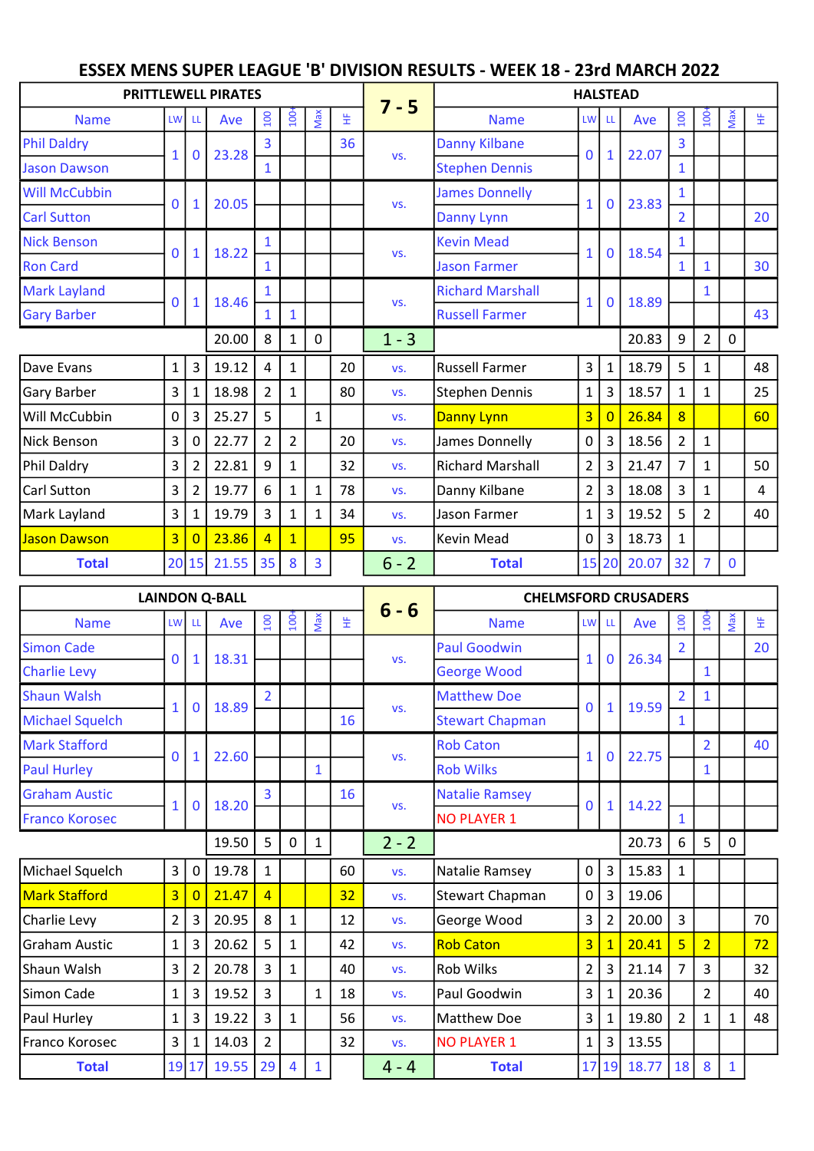## Name LW LL Ave  $\left|\begin{array}{c} 2 \\ 5 \\ 1 \end{array}\right|$   $\left|\begin{array}{c} 2 \\ 5 \\ 5 \end{array}\right|$   $\left|\begin{array}{c} 5 \\ 5 \\ 1 \end{array}\right|$   $\left|\begin{array}{c} 5 \\ 1 \end{array}\right|$   $\left|\begin{array}{c} 5 \\ 1 \end{array}\right|$   $\left|\begin{array}{c} 5 \\ 1 \end{array}\right|$   $\left|\begin{array}{c} 5 \\ 1 \end{array}\right|$   $\left|\begin{array}{c} 5 \\ 1 \end{array}\right|$   $\left|\begin$ Phil Daldry  $\begin{array}{|c|c|c|c|c|c|}\n\hline\n\end{array}$  3  $\begin{array}{|c|c|c|c|c|}\n\hline\n36 & \text{Danny Kilbane} & \text{a} & \text{a} & \text{a} & \text{a} & \text{a} & \text{a} \\
\hline\n\end{array}$ Jason Dawson  $\begin{bmatrix} 1 & 0 & 23.20 \\ 1 & 1 & 1 \end{bmatrix}$  Stephen Dennis  $\begin{bmatrix} 0 & 1 & 22.07 \\ 1 & 1 & 1 \end{bmatrix}$ Will McCubbin James Donnelly 1, 2002 1 Carl Sutton  $\begin{bmatrix} 0 & 1 & 20.03 \\ 0 & 0 & 0 \end{bmatrix}$   $\begin{bmatrix} 1 & 0 & 0 \\ 0 & 0 & 0 \end{bmatrix}$   $\begin{bmatrix} 2 & 0 & 20 \\ 2 & 0 & 0 \end{bmatrix}$   $\begin{bmatrix} 2 & 0 & 0 \\ 2 & 0 & 0 \end{bmatrix}$ Nick Benson  $\begin{bmatrix} 1 & 1 & 1 \\ 0 & 1 & 1 \end{bmatrix}$  1 Kevin Mead  $\begin{bmatrix} 1 & 1 \\ 0 & 1 \end{bmatrix}$ Ron Card 1 Jason Farmer 1 1 30 Mark Layland  $\begin{bmatrix} 1 & 1 & 1 \\ 0 & 1 & 1 \end{bmatrix}$  1 Richard Marshall  $\begin{bmatrix} 1 & 1 \\ 0 & 1 \end{bmatrix}$  1  $\begin{bmatrix} 1 & 1 \\ 0 & 1 \end{bmatrix}$ Gary Barber  $\begin{bmatrix} 0 & 1 & 1 & 1 & 1 \\ 0 & 1 & 1 & 1 & 1 \\ 0 & 0 & 0 & 1 \end{bmatrix}$  1  $\begin{bmatrix} 1 & 1 & 1 & 1 \\ 1 & 1 & 1 & 1 \\ 0 & 0 & 1 & 1 \end{bmatrix}$  3  $\begin{bmatrix} 1 & 1 & 1 & 1 \\ 1 & 1 & 1 & 1 \\ 0 & 1 & 1 & 1 \end{bmatrix}$  43 20.00  $8 | 1 | 0 | 1 - 3 | 20.83 | 9 | 2 | 0 |$ Dave Evans 1 3 19.12 4 1 20 vs. Russell Farmer 3 1 18.79 5 1 48 Gary Barber 3 1 18.98 2 1 80 vs. Stephen Dennis 1 3 18.57 1 1 25 Will McCubbin 0 3 25.27 5 1 vs. Danny Lynn 3 0 26.84 8 60 Nick Benson 3 0 22.77 2 2 20 vs. James Donnelly 0 3 18.56 2 1 Phil Daldry 23 2 22.81 9 1 32 vs. Richard Marshall 2 3 21.47 7 1 50 Carl Sutton  $3 \mid 2 \mid 19.77 \mid 6 \mid 1 \mid 78 \mid$  vs. Danny Kilbane  $2 \mid 3 \mid 18.08 \mid 3 \mid 1 \mid 4$ Mark Layland  $\begin{array}{|c|c|c|c|c|c|}\n3 & 1 & 19.79 & 3 & 1 & 34 & vs. & Jason, Farmer & 1 & 3 & 19.52 & 5 & 2 & 40\n\end{array}$ Jason Dawson 3 0 23.86 4 1 95 vs. Kevin Mead 0 3 18.73 1 Total 20 15 21.55 35 8 3 6 - 2 Total 15 20 20.07 32 7 0 Name  $\begin{array}{|c|c|c|c|c|c|}\hline \text{I} & \text{III} & \text{A} & \text{Ne} & \frac{1}{2} & \frac{1}{2} & \frac{1}{2} & \frac{1}{2} & \frac{1}{2} & \frac{1}{2} & \frac{1}{2} & \frac{1}{2} & \frac{1}{2} & \frac{1}{2} & \frac{1}{2} & \frac{1}{2} & \frac{1}{2} & \frac{1}{2} & \frac{1}{2} & \frac{1}{2} & \frac{1}{2} & \frac{1}{2} & \frac{1}{2} & \frac{1}{2} & \frac{1}{2} & \frac$ Simon Cade  $\begin{array}{|c|c|c|c|c|c|}\n\hline\n\end{array}$  Paul Goodwin  $\begin{array}{|c|c|c|c|c|c|}\n\hline\n\end{array}$  2 20 Charlie Levy  $\begin{bmatrix} 0 & 1 & 1 & 0 & 0 & 1 \\ 0 & 1 & 0 & 0 & 1 \\ 0 & 0 & 0 & 1 & 1 \\ 0 & 0 & 0 & 0 & 1 \end{bmatrix}$   $\begin{bmatrix} 0 & 0 & 0 & 0 \\ 0 & 0 & 0 & 0 \\ 0 & 0 & 0 & 1 \\ 0 & 0 & 0 & 1 \end{bmatrix}$   $\begin{bmatrix} 1 & 0 & 0 & 0 \\ 0 & 1 & 0 & 0 \\ 0 & 0 & 1 & 1 \\ 0 & 0 & 0 & 1 \end{bmatrix}$ Shaun Walsh 2 Matthew Doe 2 1 Michael Squelch  $\begin{bmatrix} 1 & 0 & 10.69 \\ 1 & 0 & 16 \end{bmatrix}$  16 Stewart Chapman  $\begin{bmatrix} 0 & 1 & 13.59 \\ 1 & 1 & 16 \end{bmatrix}$ Mark Stafford  $\begin{bmatrix} 1 & 2 & 3 \\ 0 & 1 & 2 \end{bmatrix}$  2 40 Paul Hurley  $\begin{bmatrix} 0 & 1 & 22.50 \\ 1 & 1 & 1 \end{bmatrix}$  Rob Wilks  $\begin{bmatrix} 1 & 0 & 22.75 \\ 1 & 1 & 1 \end{bmatrix}$ Graham Austic  $\begin{array}{|c|c|c|c|c|}\n\hline\n1 & 0 & 18.20 & 3 & 16 & \text{Natalie Ramsey}\n\end{array}$ Franco Korosec  $\begin{bmatrix} -1 \end{bmatrix}$   $\begin{bmatrix} -1 \end{bmatrix}$   $\begin{bmatrix} 1 \end{bmatrix}$   $\begin{bmatrix} 1 \end{bmatrix}$   $\begin{bmatrix} 0 \end{bmatrix}$   $\begin{bmatrix} 0 \end{bmatrix}$   $\begin{bmatrix} 0 \end{bmatrix}$   $\begin{bmatrix} 0 \end{bmatrix}$   $\begin{bmatrix} 1 \end{bmatrix}$   $\begin{bmatrix} -1 \end{bmatrix}$   $\begin{bmatrix} -1 \end{bmatrix}$   $\begin{bmatrix} 1 \end{bmatrix}$ 19.50  $\begin{bmatrix} 5 & 0 & 1 \end{bmatrix}$   $\begin{bmatrix} 2 & -2 & 2 \end{bmatrix}$  20.73  $\begin{bmatrix} 6 & 5 & 0 \end{bmatrix}$ Michael Squelch 3 0 19.78 1 60 vs. Natalie Ramsey 0 3 15.83 1 Mark Stafford 3 0 21.47 4 32 vs. Stewart Chapman 0 3 19.06 Charlie Levy 2 3 20.95 8 1 1 2 vs. George Wood 3 2 20.00 3 1 70 Graham Austic | 1 | 3 | 20.62 | 5 | 1 | | 42 | vs. <mark>Rob Caton | 3 | 1 | 20.41 | 5 | 2 | | 72</mark> Shaun Walsh  $3 \mid 2 \mid 20.78 \mid 3 \mid 1 \mid 40 \mid$  vs. Rob Wilks  $3 \mid 2 \mid 3 \mid 21.14 \mid 7 \mid 3 \mid 32$ Simon Cade 1 3 19.52 3 1 18 vs. Paul Goodwin 3 1 20.36 2 40 Paul Hurley 1 3 19.22 3 1 56 vs. Matthew Doe 3 1 19.80 2 1 1 48 Franco Korosec  $\begin{vmatrix} 3 & 1 & 14.03 & 2 & 32 \end{vmatrix}$  32 vs. NO PLAYER 1  $\begin{vmatrix} 1 & 3 & 13.55 \end{vmatrix}$ Total 19 17 19.55 29 4 1 4 - 4 Total 17 19 18.77 18 8 1 0 18.20  $\begin{array}{|c|c|c|c|c|c|c|c|c|} \hline \end{array}$  vs.  $\begin{array}{|c|c|c|c|c|c|c|c|c|} \hline \end{array}$  0 1 14.22 1 22.60  $\rightarrow$   $\rightarrow$  vs.  $\frac{1}{2}$  vs.  $\rightarrow$  1 0 22.75 1  $\overline{0}$ 0 18.89 vs. 0 1 19.59 0 26.34 1  $0 \mid 1 \mid 18.31 \mid$  vs.  $\frac{1}{2} \mid 1 \mid 18.31 \mid$  1 LAINDON Q-BALL 6 - 6 CHELMSFORD CRUSADERS 1 | 18.46  $\begin{array}{|c|c|c|c|c|c|}\n\hline\n1 & 18.46 & 10 & 18.89\n\end{array}$  vs. 1 | 18.22  $\frac{1}{1}$  vs.  $\frac{1}{1}$  vs.  $\frac{1}{1}$  | 0 | 18.54  $\overline{0}$  $\overline{0}$ 1 20.05  $\begin{array}{|c|c|c|c|c|c|c|c|} \hline \multicolumn{1}{|c|}{\text{values Dominely}} & \multicolumn{1}{|c|}{\text{points}} & \multicolumn{1}{|c|}{\text{points}} & \multicolumn{1}{|c|}{\text{points}} & \multicolumn{1}{|c|}{\text{points}} & \multicolumn{1}{|c|}{\text{points}} & \multicolumn{1}{|c|}{\text{points}} & \multicolumn{1}{|c|}{\text{points}} & \multicolumn{1}{|c|}{\text{points}} & \multicolumn{1}{|c|}{\text{points}} & \multicolumn{1}{|c|}{\text{$ 1 22.07  $\overline{0}$ 1 0 23.28 vs. 0 PRITTLEWELL PIRATES  $7 - 5$ **HALSTFAD**

## ESSEX MENS SUPER LEAGUE 'B' DIVISION RESULTS - WEEK 18 - 23rd MARCH 2022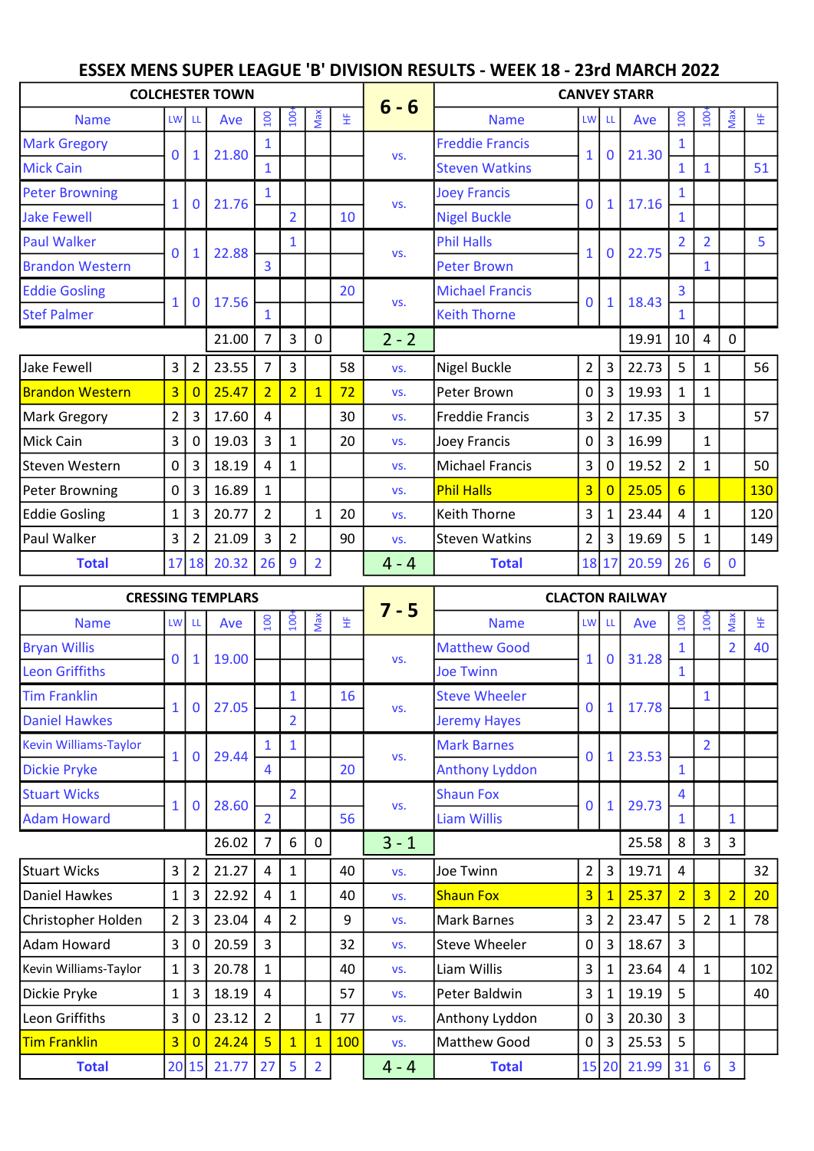## ESSEX MENS SUPER LEAGUE 'B' DIVISION RESULTS - WEEK 18 - 23rd MARCH 2022

| <b>COLCHESTER TOWN</b> |                |                |       |                |                  |                | <b>CANVEY STARR</b> |         |                        |                |                |       |                  |                |             |     |
|------------------------|----------------|----------------|-------|----------------|------------------|----------------|---------------------|---------|------------------------|----------------|----------------|-------|------------------|----------------|-------------|-----|
| <b>Name</b>            | <b>LW</b>      | <b>LL</b>      | Ave   | 100            | 100 <sup>2</sup> | Max            | 生                   | $6 - 6$ | <b>Name</b>            | LW LL          |                | Ave   | 100              | 100            | Max         | 生   |
| <b>Mark Gregory</b>    |                |                | 21.80 |                |                  |                |                     |         | <b>Freddie Francis</b> |                | $\mathbf{0}$   | 21.30 |                  |                |             |     |
| <b>Mick Cain</b>       | $\mathbf 0$    | $\mathbf{1}$   |       | $\mathbf{1}$   |                  |                |                     | VS.     | <b>Steven Watkins</b>  | $\mathbf{1}$   |                |       | $\mathbf{1}$     | 1              |             | 51  |
| <b>Peter Browning</b>  | $\mathbf{1}$   | $\mathbf 0$    | 21.76 |                |                  |                |                     | VS.     | <b>Joey Francis</b>    | $\overline{0}$ | 1              | 17.16 |                  |                |             |     |
| <b>Jake Fewell</b>     |                |                |       |                | $\overline{2}$   |                | 10                  |         | <b>Nigel Buckle</b>    |                |                |       | $\mathbf{1}$     |                |             |     |
| <b>Paul Walker</b>     | $\mathbf 0$    |                | 22.88 |                | $\mathbf{1}$     |                |                     |         | <b>Phil Halls</b>      | $\mathbf{1}$   | $\mathbf{0}$   | 22.75 |                  | $\overline{2}$ |             | 5   |
| <b>Brandon Western</b> |                | $\mathbf{1}$   |       | $\overline{3}$ |                  |                |                     | VS.     | <b>Peter Brown</b>     |                |                |       |                  | $\mathbf{1}$   |             |     |
| <b>Eddie Gosling</b>   | $\mathbf{1}$   | $\mathbf 0$    | 17.56 |                |                  |                | 20                  | VS.     | <b>Michael Francis</b> | $\mathbf{0}$   | $\mathbf{1}$   | 18.43 | 3                |                |             |     |
| <b>Stef Palmer</b>     |                |                |       | $\mathbf{1}$   |                  |                |                     |         | <b>Keith Thorne</b>    |                |                |       | $\mathbf{1}$     |                |             |     |
|                        |                |                | 21.00 | 7              | $\overline{3}$   | $\mathbf{0}$   |                     | $2 - 2$ |                        |                |                | 19.91 | 10               | 4              | 0           |     |
| Jake Fewell            | $\overline{3}$ | $\overline{2}$ | 23.55 | $\overline{7}$ | $\overline{3}$   |                | 58                  | VS.     | Nigel Buckle           | $\overline{2}$ | 3              | 22.73 | 5                | $\mathbf{1}$   |             | 56  |
| <b>Brandon Western</b> | $\overline{3}$ | $\overline{0}$ | 25.47 | $\overline{2}$ | $\overline{2}$   | $\overline{1}$ | 72                  | VS.     | Peter Brown            | 0              | 3              | 19.93 | $\mathbf{1}$     | $\mathbf{1}$   |             |     |
| Mark Gregory           | $\overline{2}$ | 3              | 17.60 | $\overline{a}$ |                  |                | 30                  | VS.     | <b>Freddie Francis</b> | 3              | $\overline{2}$ | 17.35 | $\overline{3}$   |                |             | 57  |
| Mick Cain              | $\mathbf{3}$   | 0              | 19.03 | $\mathbf{3}$   | $\mathbf{1}$     |                | 20                  | VS.     | Joey Francis           | $\mathbf 0$    | 3              | 16.99 |                  | $\mathbf{1}$   |             |     |
| Steven Western         | $\mathsf{O}$   | 3              | 18.19 | 4              | $\mathbf{1}$     |                |                     | VS.     | <b>Michael Francis</b> | 3              | $\Omega$       | 19.52 | $\overline{2}$   | $\mathbf{1}$   |             | 50  |
| Peter Browning         | $\mathbf 0$    | 3              | 16.89 | $\mathbf{1}$   |                  |                |                     | VS.     | <b>Phil Halls</b>      | $\overline{3}$ | $\overline{0}$ | 25.05 | $6 \overline{6}$ |                |             | 130 |
| <b>Eddie Gosling</b>   | $\mathbf{1}$   | 3              | 20.77 | $\overline{2}$ |                  | 1              | 20                  | VS.     | Keith Thorne           | $\overline{3}$ | 1              | 23.44 | 4                | $\mathbf{1}$   |             | 120 |
| Paul Walker            | 3              | $\overline{2}$ | 21.09 | 3              | $\overline{2}$   |                | 90                  | VS.     | <b>Steven Watkins</b>  | $\overline{2}$ | 3              | 19.69 | 5                | $\mathbf{1}$   |             | 149 |
| <b>Total</b>           | 17             | 18             | 20.32 | 26             | $\overline{9}$   | $\overline{2}$ |                     | $4 - 4$ | <b>Total</b>           |                | 18 17          | 20.59 | 26               | 6              | $\mathbf 0$ |     |

|                       | <b>CRESSING TEMPLARS</b> |                |       |                       |                |                | <b>CLACTON RAILWAY</b> |         |                       |                |                |       |                  |                  |                |     |
|-----------------------|--------------------------|----------------|-------|-----------------------|----------------|----------------|------------------------|---------|-----------------------|----------------|----------------|-------|------------------|------------------|----------------|-----|
| <b>Name</b>           | <b>LW</b>                | LL.            | Ave   | $\overline{100}$      | $\overline{5}$ | Max            | 뚶                      | $7 - 5$ | <b>Name</b>           | LW LL          |                | Ave   | $\overline{100}$ | $\overline{100}$ | Max            | 뚶   |
| <b>Bryan Willis</b>   | 0                        | $\mathbf{1}$   | 19.00 |                       |                |                |                        | VS.     | <b>Matthew Good</b>   |                | $\bf{0}$       | 31.28 | $\mathbf{1}$     |                  | $\overline{2}$ | 40  |
| <b>Leon Griffiths</b> |                          |                |       |                       |                |                |                        |         | <b>Joe Twinn</b>      |                |                |       | $\mathbf{1}$     |                  |                |     |
| <b>Tim Franklin</b>   | $\mathbf{1}$             | $\mathbf 0$    | 27.05 |                       | $\mathbf{1}$   |                | 16                     | VS.     | <b>Steve Wheeler</b>  | $\mathbf{0}$   | $\mathbf{1}$   | 17.78 |                  | $\mathbf{1}$     |                |     |
| <b>Daniel Hawkes</b>  |                          |                |       |                       | $\overline{2}$ |                |                        |         | <b>Jeremy Hayes</b>   |                |                |       |                  |                  |                |     |
| Kevin Williams-Taylor | $\mathbf{1}$             | $\mathbf 0$    | 29.44 |                       | $\mathbf{1}$   |                |                        | VS.     | <b>Mark Barnes</b>    | $\Omega$       | $\mathbf{1}$   | 23.53 |                  | $\overline{2}$   |                |     |
| <b>Dickie Pryke</b>   |                          |                |       | $\boldsymbol{\Delta}$ |                |                | 20                     |         | <b>Anthony Lyddon</b> |                |                |       | $\mathbf{1}$     |                  |                |     |
| <b>Stuart Wicks</b>   | $\mathbf{1}$             | $\mathbf 0$    | 28.60 |                       | $\overline{2}$ |                |                        | VS.     | <b>Shaun Fox</b>      | $\mathbf{0}$   | $\mathbf{1}$   | 29.73 | 4                |                  |                |     |
| <b>Adam Howard</b>    |                          |                |       | $\overline{2}$        |                |                | 56                     |         | <b>Liam Willis</b>    |                |                |       | $\mathbf{1}$     |                  | $\mathbf{1}$   |     |
|                       |                          |                | 26.02 | 7                     | 6              | 0              |                        | $3 - 1$ |                       |                |                | 25.58 | 8                | $\overline{3}$   | 3              |     |
| Stuart Wicks          | 3                        | $\overline{2}$ | 21.27 | 4                     | $\mathbf{1}$   |                | 40                     | VS.     | Joe Twinn             | $\overline{2}$ | 3              | 19.71 | 4                |                  |                | 32  |
| Daniel Hawkes         | $\mathbf{1}$             | $\mathbf{3}$   | 22.92 | 4                     | $\mathbf{1}$   |                | 40                     | VS.     | <b>Shaun Fox</b>      | $\overline{3}$ | $\overline{1}$ | 25.37 | $\overline{2}$   | $\overline{3}$   | $\overline{2}$ | 20  |
| Christopher Holden    | $\overline{2}$           | 3 <sup>1</sup> | 23.04 | 4                     | $\overline{2}$ |                | 9                      | VS.     | Mark Barnes           | 3              | $\overline{2}$ | 23.47 | 5                | $\overline{2}$   | $\mathbf{1}$   | 78  |
| Adam Howard           | 3                        | 0              | 20.59 | 3                     |                |                | 32                     | VS.     | <b>Steve Wheeler</b>  | 0              | 3              | 18.67 | $\overline{3}$   |                  |                |     |
| Kevin Williams-Taylor | $\mathbf{1}$             | 3              | 20.78 | 1                     |                |                | 40                     | VS.     | Liam Willis           | 3              | 1              | 23.64 | 4                | $\mathbf{1}$     |                | 102 |
| Dickie Pryke          | $\mathbf{1}$             | 3 <sup>1</sup> | 18.19 | 4                     |                |                | 57                     | VS.     | Peter Baldwin         | 3              | 1              | 19.19 | 5                |                  |                | 40  |
| Leon Griffiths        | 3                        | 0              | 23.12 | $\overline{2}$        |                | $\mathbf{1}$   | 77                     | VS.     | Anthony Lyddon        | 0              | 3              | 20.30 | $\overline{3}$   |                  |                |     |
| <b>Tim Franklin</b>   | $\overline{3}$           | $\Omega$       | 24.24 | $\overline{5}$        | $\overline{1}$ | $\mathbf{1}$   | 100                    | VS.     | Matthew Good          | $\Omega$       | 3              | 25.53 | 5                |                  |                |     |
| <b>Total</b>          |                          | 20 15          | 21.77 | 27                    | 5              | $\overline{2}$ |                        | $4 - 4$ | <b>Total</b>          |                | 15 20          | 21.99 | 31               | 6                | 3              |     |